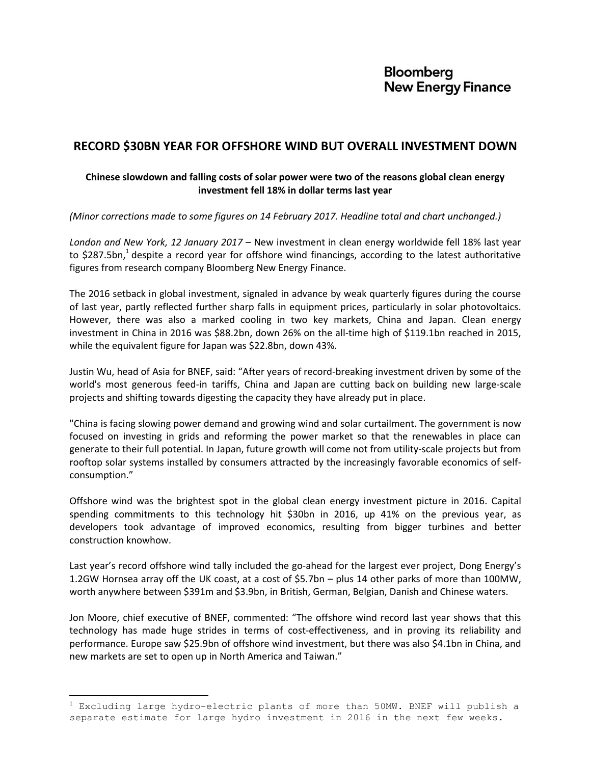# **Bloomberg New Energy Finance**

## **RECORD \$30BN YEAR FOR OFFSHORE WIND BUT OVERALL INVESTMENT DOWN**

### **Chinese slowdown and falling costs of solar power were two of the reasons global clean energy investment fell 18% in dollar terms last year**

*(Minor corrections made to some figures on 14 February 2017. Headline total and chart unchanged.)*

*London and New York, 12 January 2017* – New investment in clean energy worldwide fell 18% last year to \$287.5bn,<sup>1</sup> despite a record year for offshore wind financings, according to the latest authoritative figures from research company Bloomberg New Energy Finance.

The 2016 setback in global investment, signaled in advance by weak quarterly figures during the course of last year, partly reflected further sharp falls in equipment prices, particularly in solar photovoltaics. However, there was also a marked cooling in two key markets, China and Japan. Clean energy investment in China in 2016 was \$88.2bn, down 26% on the all-time high of \$119.1bn reached in 2015, while the equivalent figure for Japan was \$22.8bn, down 43%.

Justin Wu, head of Asia for BNEF, said: "After years of record-breaking investment driven by some of the world's most generous feed-in tariffs, China and Japan are cutting back on building new large-scale projects and shifting towards digesting the capacity they have already put in place.

"China is facing slowing power demand and growing wind and solar curtailment. The government is now focused on investing in grids and reforming the power market so that the renewables in place can generate to their full potential. In Japan, future growth will come not from utility-scale projects but from rooftop solar systems installed by consumers attracted by the increasingly favorable economics of selfconsumption."

Offshore wind was the brightest spot in the global clean energy investment picture in 2016. Capital spending commitments to this technology hit \$30bn in 2016, up 41% on the previous year, as developers took advantage of improved economics, resulting from bigger turbines and better construction knowhow.

Last year's record offshore wind tally included the go-ahead for the largest ever project, Dong Energy's 1.2GW Hornsea array off the UK coast, at a cost of \$5.7bn – plus 14 other parks of more than 100MW, worth anywhere between \$391m and \$3.9bn, in British, German, Belgian, Danish and Chinese waters.

Jon Moore, chief executive of BNEF, commented: "The offshore wind record last year shows that this technology has made huge strides in terms of cost-effectiveness, and in proving its reliability and performance. Europe saw \$25.9bn of offshore wind investment, but there was also \$4.1bn in China, and new markets are set to open up in North America and Taiwan."

÷.

 $1$  Excluding large hydro-electric plants of more than 50MW. BNEF will publish a separate estimate for large hydro investment in 2016 in the next few weeks.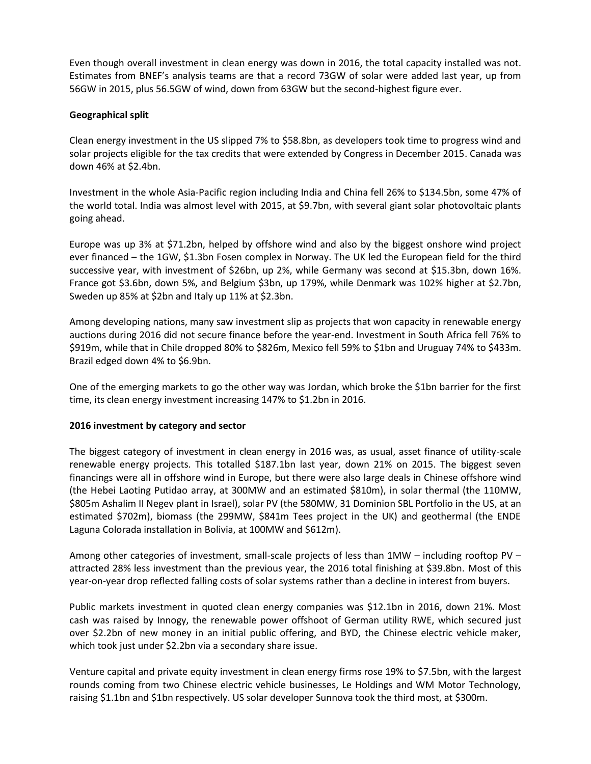Even though overall investment in clean energy was down in 2016, the total capacity installed was not. Estimates from BNEF's analysis teams are that a record 73GW of solar were added last year, up from 56GW in 2015, plus 56.5GW of wind, down from 63GW but the second-highest figure ever.

#### **Geographical split**

Clean energy investment in the US slipped 7% to \$58.8bn, as developers took time to progress wind and solar projects eligible for the tax credits that were extended by Congress in December 2015. Canada was down 46% at \$2.4bn.

Investment in the whole Asia-Pacific region including India and China fell 26% to \$134.5bn, some 47% of the world total. India was almost level with 2015, at \$9.7bn, with several giant solar photovoltaic plants going ahead.

Europe was up 3% at \$71.2bn, helped by offshore wind and also by the biggest onshore wind project ever financed – the 1GW, \$1.3bn Fosen complex in Norway. The UK led the European field for the third successive year, with investment of \$26bn, up 2%, while Germany was second at \$15.3bn, down 16%. France got \$3.6bn, down 5%, and Belgium \$3bn, up 179%, while Denmark was 102% higher at \$2.7bn, Sweden up 85% at \$2bn and Italy up 11% at \$2.3bn.

Among developing nations, many saw investment slip as projects that won capacity in renewable energy auctions during 2016 did not secure finance before the year-end. Investment in South Africa fell 76% to \$919m, while that in Chile dropped 80% to \$826m, Mexico fell 59% to \$1bn and Uruguay 74% to \$433m. Brazil edged down 4% to \$6.9bn.

One of the emerging markets to go the other way was Jordan, which broke the \$1bn barrier for the first time, its clean energy investment increasing 147% to \$1.2bn in 2016.

#### **2016 investment by category and sector**

The biggest category of investment in clean energy in 2016 was, as usual, asset finance of utility-scale renewable energy projects. This totalled \$187.1bn last year, down 21% on 2015. The biggest seven financings were all in offshore wind in Europe, but there were also large deals in Chinese offshore wind (the Hebei Laoting Putidao array, at 300MW and an estimated \$810m), in solar thermal (the 110MW, \$805m Ashalim II Negev plant in Israel), solar PV (the 580MW, 31 Dominion SBL Portfolio in the US, at an estimated \$702m), biomass (the 299MW, \$841m Tees project in the UK) and geothermal (the ENDE Laguna Colorada installation in Bolivia, at 100MW and \$612m).

Among other categories of investment, small-scale projects of less than 1MW – including rooftop PV – attracted 28% less investment than the previous year, the 2016 total finishing at \$39.8bn. Most of this year-on-year drop reflected falling costs of solar systems rather than a decline in interest from buyers.

Public markets investment in quoted clean energy companies was \$12.1bn in 2016, down 21%. Most cash was raised by Innogy, the renewable power offshoot of German utility RWE, which secured just over \$2.2bn of new money in an initial public offering, and BYD, the Chinese electric vehicle maker, which took just under \$2.2bn via a secondary share issue.

Venture capital and private equity investment in clean energy firms rose 19% to \$7.5bn, with the largest rounds coming from two Chinese electric vehicle businesses, Le Holdings and WM Motor Technology, raising \$1.1bn and \$1bn respectively. US solar developer Sunnova took the third most, at \$300m.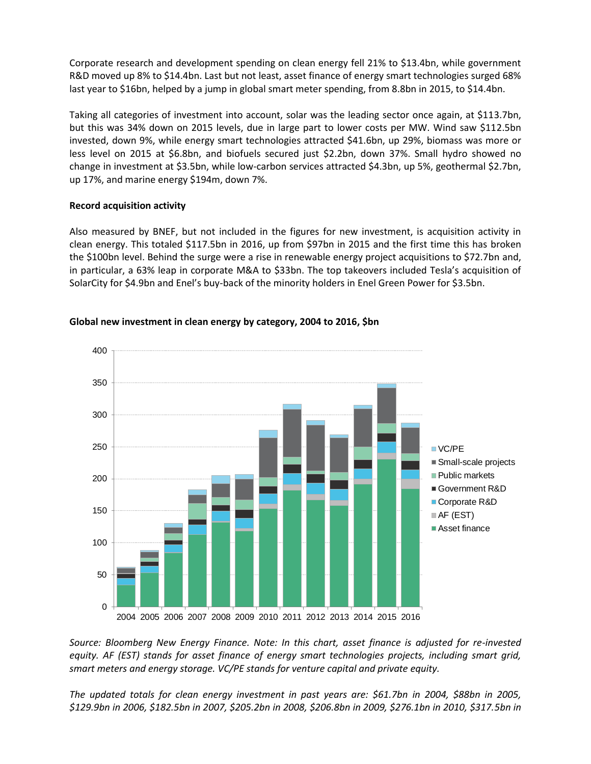Corporate research and development spending on clean energy fell 21% to \$13.4bn, while government R&D moved up 8% to \$14.4bn. Last but not least, asset finance of energy smart technologies surged 68% last year to \$16bn, helped by a jump in global smart meter spending, from 8.8bn in 2015, to \$14.4bn.

Taking all categories of investment into account, solar was the leading sector once again, at \$113.7bn, but this was 34% down on 2015 levels, due in large part to lower costs per MW. Wind saw \$112.5bn invested, down 9%, while energy smart technologies attracted \$41.6bn, up 29%, biomass was more or less level on 2015 at \$6.8bn, and biofuels secured just \$2.2bn, down 37%. Small hydro showed no change in investment at \$3.5bn, while low-carbon services attracted \$4.3bn, up 5%, geothermal \$2.7bn, up 17%, and marine energy \$194m, down 7%.

#### **Record acquisition activity**

Also measured by BNEF, but not included in the figures for new investment, is acquisition activity in clean energy. This totaled \$117.5bn in 2016, up from \$97bn in 2015 and the first time this has broken the \$100bn level. Behind the surge were a rise in renewable energy project acquisitions to \$72.7bn and, in particular, a 63% leap in corporate M&A to \$33bn. The top takeovers included Tesla's acquisition of SolarCity for \$4.9bn and Enel's buy-back of the minority holders in Enel Green Power for \$3.5bn.



#### **Global new investment in clean energy by category, 2004 to 2016, \$bn**

*Source: Bloomberg New Energy Finance. Note: In this chart, asset finance is adjusted for re-invested equity. AF (EST) stands for asset finance of energy smart technologies projects, including smart grid, smart meters and energy storage. VC/PE stands for venture capital and private equity.*

*The updated totals for clean energy investment in past years are: \$61.7bn in 2004, \$88bn in 2005, \$129.9bn in 2006, \$182.5bn in 2007, \$205.2bn in 2008, \$206.8bn in 2009, \$276.1bn in 2010, \$317.5bn in*